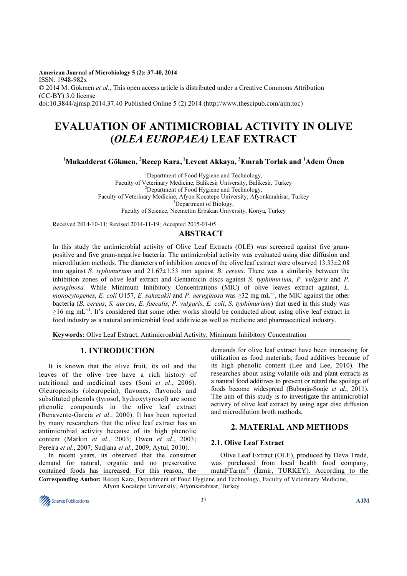American Journal of Microbiology 5 (2): 37-40, 2014 ISSN: 1948-982x © 2014 M. Gökmen et al., This open access article is distributed under a Creative Commons Attribution (CC-BY) 3.0 license doi:10.3844/ajmsp.2014.37.40 Published Online 5 (2) 2014 (http://www.thescipub.com/ajm.toc)

# EVALUATION OF ANTIMICROBIAL ACTIVITY IN OLIVE (OLEA EUROPAEA) LEAF EXTRACT

 $1$ Mukadderat Gökmen, <sup>2</sup>Recep Kara, <sup>1</sup>Levent Akkaya, <sup>3</sup>Emrah Torlak and <sup>1</sup>Adem Önen

<sup>1</sup>Department of Food Hygiene and Technology, Faculty of Veterinary Medicine, Balikesir University, Balikesir, Turkey <sup>2</sup>Department of Food Hygiene and Technology, Faculty of Veterinary Medicine, Afyon Kocatepe University, Afyonkarahisar, Turkey  ${}^{3}$ Department of Biology, Faculty of Science, Necmettin Erbakan University, Konya, Turkey

Received 2014-10-11; Revised 2014-11-19; Accepted 2015-01-05

# ABSTRACT

In this study the antimicrobial activity of Olive Leaf Extracts (OLE) was screened against five grampositive and five gram-negative bacteria. The antimicrobial activity was evaluated using disc diffusion and microdilution methods. The diameters of inhibition zones of the olive leaf extract were observed 13.33±2.08 mm against S. typhimurium and  $21.67\pm1.53$  mm against B. cereus. There was a similarity between the inhibition zones of olive leaf extract and Gentamicin discs against S. typhimurium, P. vulgaris and P. aeruginosa. While Minimum Inhibitory Concentrations (MIC) of olive leaves extract against, L. monocytogenes, E. coli O157, E. sakazakii and P. aeruginosa was ≥32 mg mL<sup>-1</sup>, the MIC against the other bacteria (B. cereus, S. aureus, E. faecalis, P. vulgaris, E. coli, S. typhimurium) that used in this study was ≥16 mg mL<sup>−</sup><sup>1</sup> . It's considered that some other works should be conducted about using olive leaf extract in food industry as a natural antimicrobial food additivie as well as medicine and pharmaceutical industry.

Keywords: Olive Leaf Extract, Antimicroabial Activity, Minimum Inhibitory Concentration

# 1. INTRODUCTION

It is known that the olive fruit, its oil and the leaves of the olive tree have a rich history of nutritional and medicinal uses (Soni et al., 2006). Oleuropeosits (oleuropein), flavones, flavonols and substituted phenols (tyrosol, hydroxytyrosol) are some phenolic compounds in the olive leaf extract (Benavente-García et al., 2000). It has been reported by many researchers that the olive leaf extract has an antimicrobial activity because of its high phenolic content (Markin et al., 2003; Owen et al., 2003; Pereira et al., 2007; Sudjana et al., 2009; Aytul, 2010).

In recent years, its observed that the consumer demand for natural, organic and no preservative contained foods has increased. For this reason, the demands for olive leaf extract have been increasing for utilization as food materials, food additives because of its high phenolic content (Lee and Lee, 2010). The researches about using volatile oils and plant extracts as a natural food additives to prevent or retard the spoilage of foods become widespread (Bubonja-Sonje et al., 2011). The aim of this study is to investigate the antimicrobial activity of olive leaf extract by using agar disc diffusion and microdilution broth methods.

## 2. MATERIAL AND METHODS

## 2.1. Olive Leaf Extract

Olive Leaf Extract (OLE), produced by Deva Trade, was purchased from local health food company, mutaFTarım® (İzmir, TURKEY). According to the

Corresponding Author: Recep Kara, Department of Food Hygiene and Technology, Faculty of Veterinary Medicine, Afyon Kocatepe University, Afyonkarahisar, Turkey

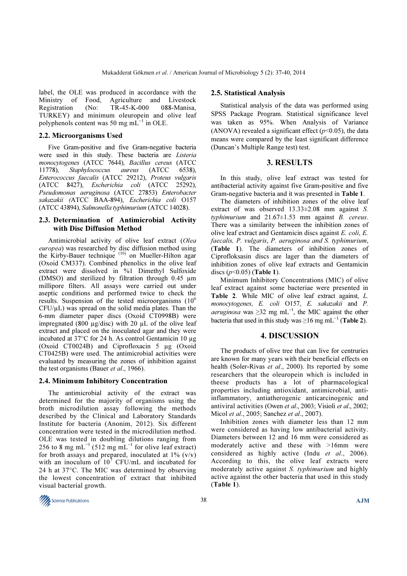label, the OLE was produced in accordance with the Ministry of Food, Agriculture and Livestock Registration (No: TR-45-K-000 088-Manisa, TURKEY) and minimum oleuropein and olive leaf polyphenols content was 50 mg m $\overline{L}^{-1}$  in OLE.

#### 2.2. Microorganisms Used

Five Gram-positive and five Gram-negative bacteria were used in this study. These bacteria are Listeria monocytogenes (ATCC 7644), Bacillus cereus (ATCC 11778), Staphylococcus aureus (ATCC 6538), Enterococcus faecalis (ATCC 29212), Proteus vulgaris (ATCC 8427), Escherichia coli (ATCC 25292), Pseudomonas aeruginosa (ATCC 27853) Enterobacter sakazakii (ATCC BAA-894), Escherichia coli O157 (ATCC 43894), Salmonella typhimurium (ATCC 14028).

## 2.3. Determination of Antimicrobial Activity with Disc Diffusion Method

Antimicrobial activity of olive leaf extract (Olea europea) was researched by disc diffusion method using the Kirby-Bauer technique (10) on Mueller-Hilton agar (Oxoid CM337). Combined phenolics in the olive leaf extract were dissolved in %1 Dimethyl Sulfoxide (DMSO) and sterilized by filtration through 0.45 µm millipore filters. All assays were carried out under aseptic conditions and performed twice to check the results. Suspension of the tested microorganisms  $(10<sup>6</sup>$  $CFU<sub>µ</sub>L$ ) was spread on the solid media plates. Than the 6-mm diameter paper discs (Oxoid CT0998B) were impregnated (800  $\mu$ g/disc) with 20  $\mu$ L of the olive leaf extract and placed on the inoculated agar and they were incubated at 37°C for 24 h. As control Gentamicin 10 µg (Oxoid CT0024B) and Ciprofloxacin 5 µg (Oxoid CT0425B) were used. The antimicrobial activities were evaluated by measuring the zones of inhibition against the test organisms (Bauer *et al.*, 1966).

#### 2.4. Minimum Inhibitory Concentration

The antimicrobial activity of the extract was determined for the majority of organisms using the broth microdilution assay following the methods described by the Clinical and Laboratory Standards Institute for bacteria (Anonim, 2012). Six different concentration were tested in the microdilution method. OLE was tested in doubling dilutions ranging from 256 to 8 mg mL<sup>-1</sup> (512 mg mL<sup>-1</sup> for olive leaf extract) for broth assays and prepared, inoculated at  $1\%$  (v/v) with an inoculum of  $10^7$  CFU/mL and incubated for 24 h at 37°C. The MIC was determined by observing the lowest concentration of extract that inhibited visual bacterial growth.

#### 2.5. Statistical Analysis

Statistical analysis of the data was performed using SPSS Package Program. Statistical significance level was taken as 95%. When Analysis of Variance (ANOVA) revealed a significant effect ( $p$ <0.05), the data means were compared by the least significant difference (Duncan's Multiple Range test) test.

#### 3. RESULTS

In this study, olive leaf extract was tested for antibacterial activity against five Gram-positive and five Gram-negative bacteria and it was presented in Table 1.

The diameters of inhibition zones of the olive leaf extract of was observed 13.33±2.08 mm against S. typhimurium and  $21.67 \pm 1.53$  mm against *B. cereus.* There was a similarity between the inhibition zones of olive leaf extract and Gentamicin discs against E. coli, E. faecalis, P. vulgaris, P. aeruginosa and S. typhimurium, (Table 1). The diameters of inhibition zones of Ciprofloksasin discs are lager than the diameters of inhibition zones of olive leaf extracts and Gentamicin discs  $(p<0.05)$  (Table 1).

Minimum Inhibitory Concentrations (MIC) of olive leaf extract against some bacteriae were presented in Table 2. While MIC of olive leaf extract against, L. monocytogenes, E. coli O157, E. sakazakii and P. aeruginosa was ≥32 mg mL<sup>-1</sup>, the MIC against the other bacteria that used in this study was  $\geq 16$  mg mL<sup>-1</sup> (Table 2).

#### 4. DISCUSSION

The products of olive tree that can live for centruries are known for many years with their beneficial effects on health (Soler-Rivas et al., 2000). Its reported by some researchers that the oleuropein which is included in theese products has a lot of pharmacological properties including antioxidant, antimicrobial, antiinflammatory, antiatherogenic anticarcinogenic and antiviral activities (Owen et al., 2003; Visioli et al., 2002; Micol et al., 2005; Sanchez et al., 2007).

Inhibition zones with diameter less than 12 mm were considered as having low antibacterial activity. Diameters between 12 and 16 mm were considered as moderately active and these with >16mm were considered as highly active (Indu et al., 2006). According to this, the olive leaf extracts were moderately active against S. typhimurium and highly active against the other bacteria that used in this study (Table 1).

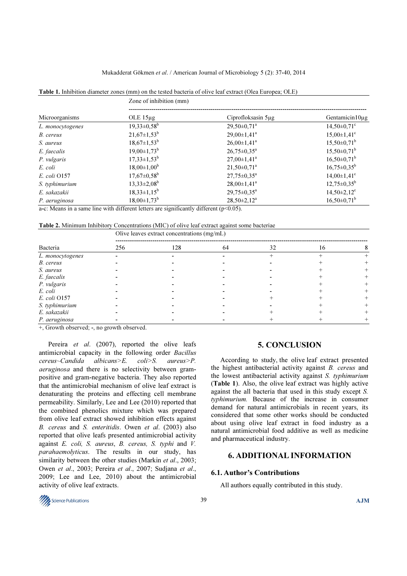#### Mukadderat Gökmen et al. / American Journal of Microbiology 5 (2): 37-40, 2014

|  | <b>Table 1.</b> Inhibition diameter zones (mm) on the tested bacteria of olive leaf extract (Olea Europea: OLE) |  |  |
|--|-----------------------------------------------------------------------------------------------------------------|--|--|
|  |                                                                                                                 |  |  |

|                  | Zone of inhibition (mm)       |                               |                               |  |  |  |
|------------------|-------------------------------|-------------------------------|-------------------------------|--|--|--|
| Microorganisms   | OLE $15\mu$ g                 | Ciprofloksasin 5µg            | Gentamicin $10\mu$ g          |  |  |  |
| L. monocytogenes | $19,33\pm0.58^{\rm b}$        | $29,50\pm0,71^{\circ}$        | $14,50\pm0,71$ <sup>c</sup>   |  |  |  |
| B. cereus        | $21,67 \pm 1,53^b$            | $29,00 \pm 1,41^{\circ}$      | $15,00 \pm 1,41$ <sup>c</sup> |  |  |  |
| S. aureus        | $18,67 \pm 1,53^b$            | $26,00\pm1,41^a$              | $15,50\pm0,71^b$              |  |  |  |
| E. faecalis      | $19,00 \pm 1,73$ <sup>b</sup> | $26,75 \pm 0.35^{\circ}$      | $15,50\pm0,71^{\rm b}$        |  |  |  |
| P. vulgaris      | $17,33 \pm 1,53^b$            | $27,00 \pm 1,41$ <sup>a</sup> | $16,50\pm0,71^b$              |  |  |  |
| E. coli          | $18,00\pm1,00^{\rm b}$        | $21,50\pm0,71^a$              | $16,75 \pm 0.35^b$            |  |  |  |
| E. coli 0157     | $17,67 \pm 0.58$ <sup>b</sup> | $27,75 \pm 0.35^{\circ}$      | $14.00 \pm 1.41$ <sup>c</sup> |  |  |  |
| S. typhimurium   | $13,33\pm2,08^{\rm b}$        | $28,00\pm1,41^a$              | $12,75 \pm 0.35^b$            |  |  |  |
| E. sakazakii     | $18,33 \pm 1,15^b$            | $29,75 \pm 0.35^{\circ}$      | $14,50 \pm 2,12$ <sup>c</sup> |  |  |  |
| P. aeruginosa    | $18,00\pm1,73^b$              | $28,50 \pm 2,12^a$            | $16,50\pm0,71^b$              |  |  |  |

a-c: Means in a same line with different letters are significantly different ( $p<0.05$ ).

Table 2. Minimum Inhibitory Concentrations (MIC) of olive leaf extract against some bacteriae

 $\overline{O}$  leaves extract concentrations (mg/mL)  $\overline{O}$ 

|                  | Onve reaves extract concentrations (mg/mL) |     |    |    |    |  |  |
|------------------|--------------------------------------------|-----|----|----|----|--|--|
| Bacteria         | 256                                        | 128 | 64 | 32 | 16 |  |  |
| L. monocytogenes |                                            |     |    |    |    |  |  |
| B. cereus        |                                            |     |    |    |    |  |  |
| S. aureus        |                                            |     |    |    |    |  |  |
| E. faecalis      |                                            |     |    |    |    |  |  |
| P. vulgaris      |                                            |     |    |    |    |  |  |
| E. coli          |                                            |     |    |    |    |  |  |
| E. coli 0157     |                                            |     |    |    |    |  |  |
| S. typhimurium   |                                            |     |    |    |    |  |  |
| E. sakazakii     |                                            |     |    |    |    |  |  |
| P. aeruginosa    |                                            |     |    |    |    |  |  |

+, Growth observed; -, no growth observed.

Pereira et al. (2007), reported the olive leafs antimicrobial capacity in the following order Bacillus cereus~Candida albicans>E. coli>S. aureus>P. aeruginosa and there is no selectivity between grampositive and gram-negative bacteria. They also reported that the antimicrobial mechanism of olive leaf extract is denaturating the proteins and effecting cell membrane permeability. Similarly, Lee and Lee (2010) reported that the combined phenolics mixture which was prepared from olive leaf extract showed inhibition effects against B. cereus and S. enteritidis. Owen et al. (2003) also reported that olive leafs presented antimicrobial activity against E. coli, S. aureus, B. cereus, S. typhi and V. parahaemolyticus. The results in our study, has similarity between the other studies (Markin et al., 2003; Owen et al., 2003; Pereira et al., 2007; Sudjana et al., 2009; Lee and Lee, 2010) about the antimicrobial activity of olive leaf extracts.

### 5. CONCLUSION

According to study, the olive leaf extract presented the highest antibacterial activity against B. cereus and the lowest antibacterial activity against S. typhimurium (Table 1). Also, the olive leaf extract was highly active against the all bacteria that used in this study except S. typhimurium. Because of the increase in consumer demand for natural antimicrobials in recent years, its considered that some other works should be conducted about using olive leaf extract in food industry as a natural antimicrobial food additive as well as medicine and pharmaceutical industry.

## 6. ADDITIONAL INFORMATION

#### 6.1. Author's Contributions

All authors equally contributed in this study.